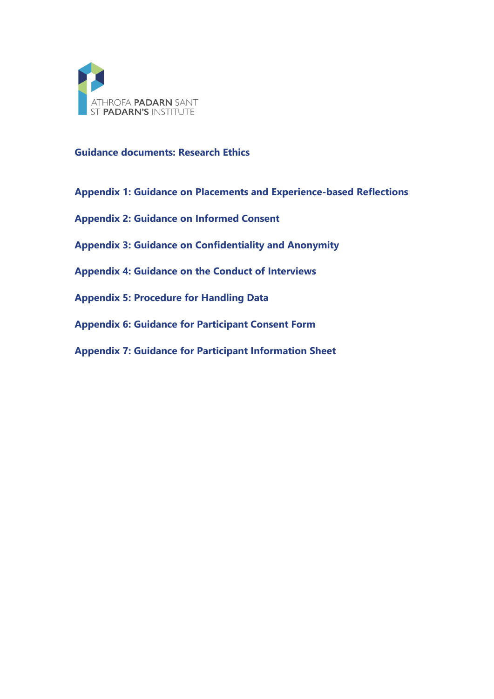

**Guidance documents: Research Ethics**

**Appendix 1: Guidance on Placements and Experience-based Reflections**

**Appendix 2: Guidance on Informed Consent**

**Appendix 3: Guidance on Confidentiality and Anonymity**

**Appendix 4: Guidance on the Conduct of Interviews**

**Appendix 5: Procedure for Handling Data**

**Appendix 6: Guidance for Participant Consent Form**

**Appendix 7: Guidance for Participant Information Sheet**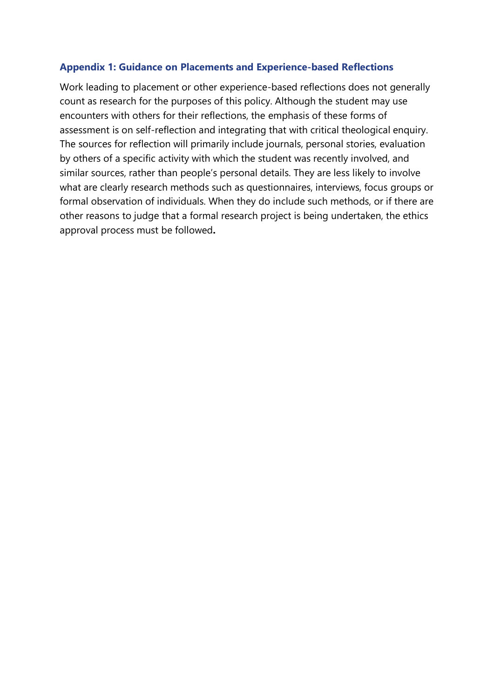### **Appendix 1: Guidance on Placements and Experience-based Reflections**

Work leading to placement or other experience-based reflections does not generally count as research for the purposes of this policy. Although the student may use encounters with others for their reflections, the emphasis of these forms of assessment is on self-reflection and integrating that with critical theological enquiry. The sources for reflection will primarily include journals, personal stories, evaluation by others of a specific activity with which the student was recently involved, and similar sources, rather than people's personal details. They are less likely to involve what are clearly research methods such as questionnaires, interviews, focus groups or formal observation of individuals. When they do include such methods, or if there are other reasons to judge that a formal research project is being undertaken, the ethics approval process must be followed**.**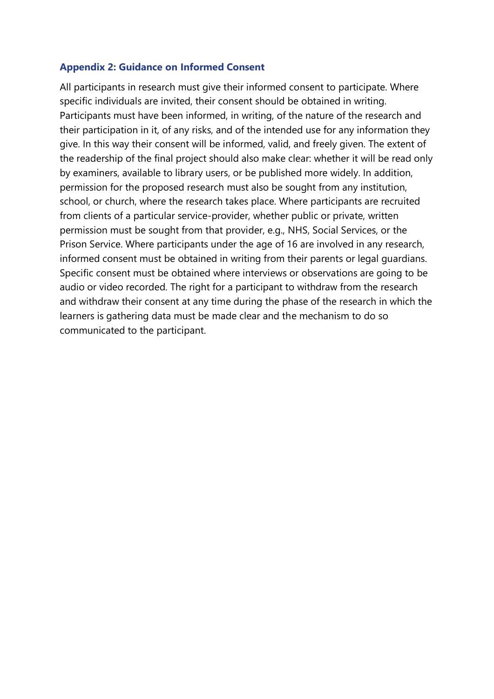#### **Appendix 2: Guidance on Informed Consent**

All participants in research must give their informed consent to participate. Where specific individuals are invited, their consent should be obtained in writing. Participants must have been informed, in writing, of the nature of the research and their participation in it, of any risks, and of the intended use for any information they give. In this way their consent will be informed, valid, and freely given. The extent of the readership of the final project should also make clear: whether it will be read only by examiners, available to library users, or be published more widely. In addition, permission for the proposed research must also be sought from any institution, school, or church, where the research takes place. Where participants are recruited from clients of a particular service-provider, whether public or private, written permission must be sought from that provider, e.g., NHS, Social Services, or the Prison Service. Where participants under the age of 16 are involved in any research, informed consent must be obtained in writing from their parents or legal guardians. Specific consent must be obtained where interviews or observations are going to be audio or video recorded. The right for a participant to withdraw from the research and withdraw their consent at any time during the phase of the research in which the learners is gathering data must be made clear and the mechanism to do so communicated to the participant.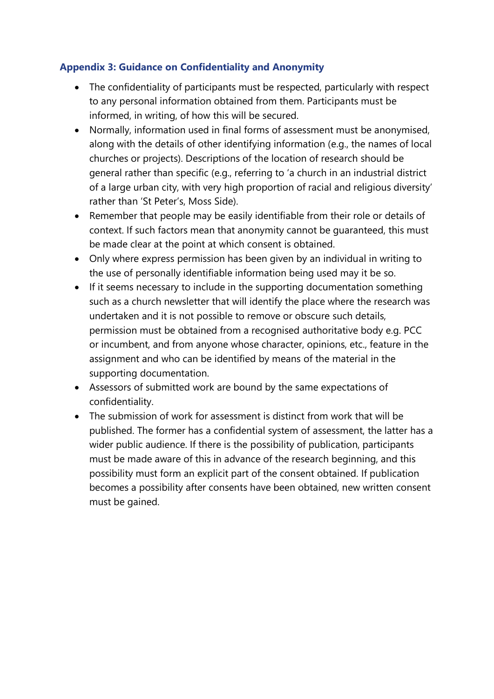# **Appendix 3: Guidance on Confidentiality and Anonymity**

- The confidentiality of participants must be respected, particularly with respect to any personal information obtained from them. Participants must be informed, in writing, of how this will be secured.
- Normally, information used in final forms of assessment must be anonymised, along with the details of other identifying information (e.g., the names of local churches or projects). Descriptions of the location of research should be general rather than specific (e.g., referring to 'a church in an industrial district of a large urban city, with very high proportion of racial and religious diversity' rather than 'St Peter's, Moss Side).
- Remember that people may be easily identifiable from their role or details of context. If such factors mean that anonymity cannot be guaranteed, this must be made clear at the point at which consent is obtained.
- Only where express permission has been given by an individual in writing to the use of personally identifiable information being used may it be so.
- If it seems necessary to include in the supporting documentation something such as a church newsletter that will identify the place where the research was undertaken and it is not possible to remove or obscure such details, permission must be obtained from a recognised authoritative body e.g. PCC or incumbent, and from anyone whose character, opinions, etc., feature in the assignment and who can be identified by means of the material in the supporting documentation.
- Assessors of submitted work are bound by the same expectations of confidentiality.
- The submission of work for assessment is distinct from work that will be published. The former has a confidential system of assessment, the latter has a wider public audience. If there is the possibility of publication, participants must be made aware of this in advance of the research beginning, and this possibility must form an explicit part of the consent obtained. If publication becomes a possibility after consents have been obtained, new written consent must be gained.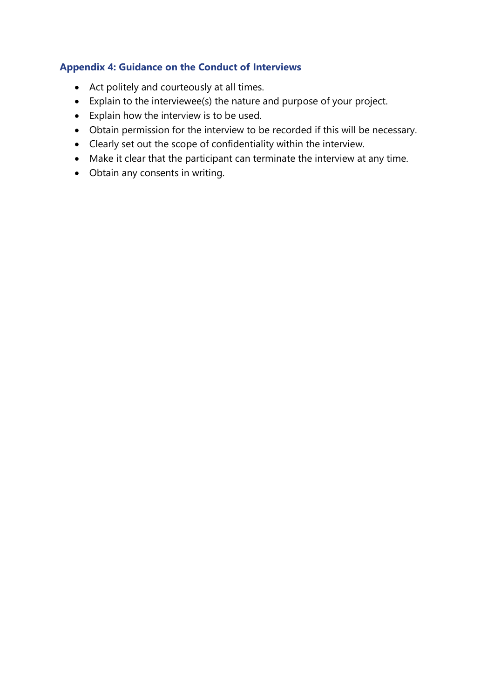## **Appendix 4: Guidance on the Conduct of Interviews**

- Act politely and courteously at all times.
- Explain to the interviewee(s) the nature and purpose of your project.
- Explain how the interview is to be used.
- Obtain permission for the interview to be recorded if this will be necessary.
- Clearly set out the scope of confidentiality within the interview.
- Make it clear that the participant can terminate the interview at any time.
- Obtain any consents in writing.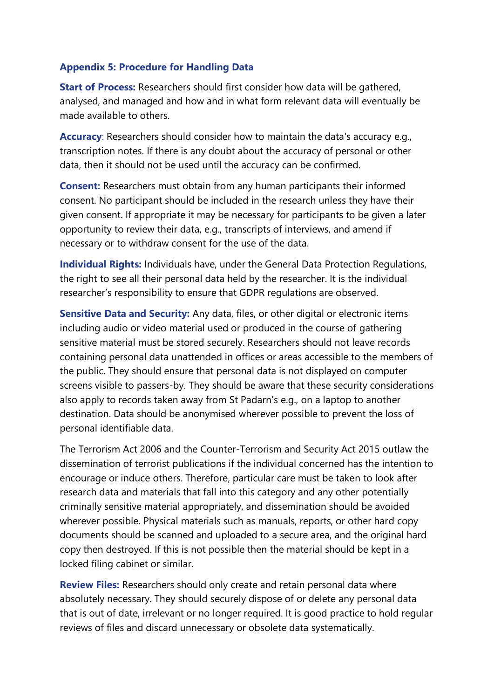### **Appendix 5: Procedure for Handling Data**

**Start of Process:** Researchers should first consider how data will be gathered, analysed, and managed and how and in what form relevant data will eventually be made available to others.

**Accuracy**: Researchers should consider how to maintain the data's accuracy e.g., transcription notes. If there is any doubt about the accuracy of personal or other data, then it should not be used until the accuracy can be confirmed.

**Consent:** Researchers must obtain from any human participants their informed consent. No participant should be included in the research unless they have their given consent. If appropriate it may be necessary for participants to be given a later opportunity to review their data, e.g., transcripts of interviews, and amend if necessary or to withdraw consent for the use of the data.

**Individual Rights:** Individuals have, under the General Data Protection Regulations, the right to see all their personal data held by the researcher. It is the individual researcher's responsibility to ensure that GDPR regulations are observed.

**Sensitive Data and Security:** Any data, files, or other digital or electronic items including audio or video material used or produced in the course of gathering sensitive material must be stored securely. Researchers should not leave records containing personal data unattended in offices or areas accessible to the members of the public. They should ensure that personal data is not displayed on computer screens visible to passers-by. They should be aware that these security considerations also apply to records taken away from St Padarn's e.g., on a laptop to another destination. Data should be anonymised wherever possible to prevent the loss of personal identifiable data.

The Terrorism Act 2006 and the Counter-Terrorism and Security Act 2015 outlaw the dissemination of terrorist publications if the individual concerned has the intention to encourage or induce others. Therefore, particular care must be taken to look after research data and materials that fall into this category and any other potentially criminally sensitive material appropriately, and dissemination should be avoided wherever possible. Physical materials such as manuals, reports, or other hard copy documents should be scanned and uploaded to a secure area, and the original hard copy then destroyed. If this is not possible then the material should be kept in a locked filing cabinet or similar.

**Review Files:** Researchers should only create and retain personal data where absolutely necessary. They should securely dispose of or delete any personal data that is out of date, irrelevant or no longer required. It is good practice to hold regular reviews of files and discard unnecessary or obsolete data systematically.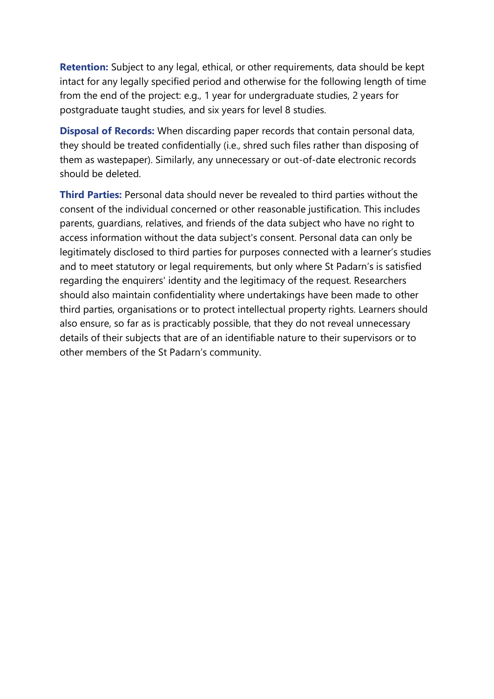**Retention:** Subject to any legal, ethical, or other requirements, data should be kept intact for any legally specified period and otherwise for the following length of time from the end of the project: e.g., 1 year for undergraduate studies, 2 years for postgraduate taught studies, and six years for level 8 studies.

**Disposal of Records:** When discarding paper records that contain personal data, they should be treated confidentially (i.e., shred such files rather than disposing of them as wastepaper). Similarly, any unnecessary or out-of-date electronic records should be deleted.

**Third Parties:** Personal data should never be revealed to third parties without the consent of the individual concerned or other reasonable justification. This includes parents, guardians, relatives, and friends of the data subject who have no right to access information without the data subject's consent. Personal data can only be legitimately disclosed to third parties for purposes connected with a learner's studies and to meet statutory or legal requirements, but only where St Padarn's is satisfied regarding the enquirers' identity and the legitimacy of the request. Researchers should also maintain confidentiality where undertakings have been made to other third parties, organisations or to protect intellectual property rights. Learners should also ensure, so far as is practicably possible, that they do not reveal unnecessary details of their subjects that are of an identifiable nature to their supervisors or to other members of the St Padarn's community.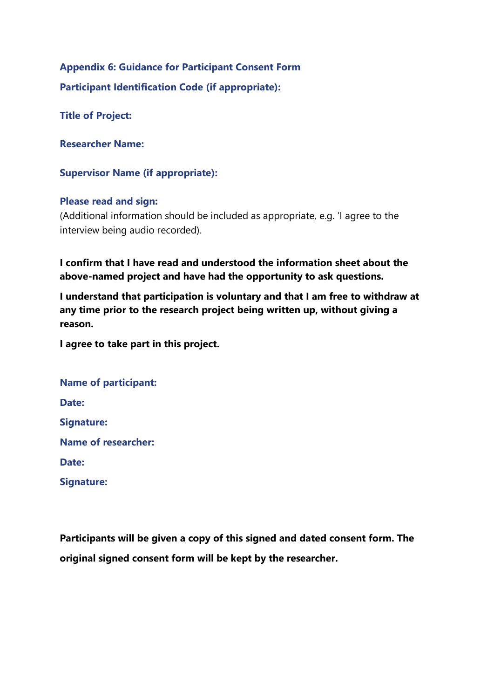**Appendix 6: Guidance for Participant Consent Form Participant Identification Code (if appropriate):**

**Title of Project:**

**Researcher Name:**

**Supervisor Name (if appropriate):**

#### **Please read and sign:**

(Additional information should be included as appropriate, e.g. 'I agree to the interview being audio recorded).

**I confirm that I have read and understood the information sheet about the above-named project and have had the opportunity to ask questions.**

**I understand that participation is voluntary and that I am free to withdraw at any time prior to the research project being written up, without giving a reason.**

**I agree to take part in this project.**

| <b>Name of participant:</b> |  |
|-----------------------------|--|
| Date:                       |  |
| <b>Signature:</b>           |  |
| <b>Name of researcher:</b>  |  |
| Date:                       |  |
| <b>Signature:</b>           |  |

**Participants will be given a copy of this signed and dated consent form. The original signed consent form will be kept by the researcher.**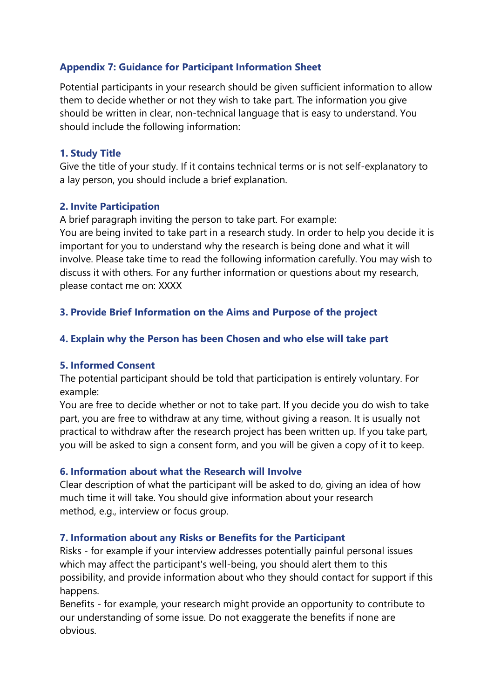## **Appendix 7: Guidance for Participant Information Sheet**

Potential participants in your research should be given sufficient information to allow them to decide whether or not they wish to take part. The information you give should be written in clear, non-technical language that is easy to understand. You should include the following information:

### **1. Study Title**

Give the title of your study. If it contains technical terms or is not self-explanatory to a lay person, you should include a brief explanation.

## **2. Invite Participation**

A brief paragraph inviting the person to take part. For example:

You are being invited to take part in a research study. In order to help you decide it is important for you to understand why the research is being done and what it will involve. Please take time to read the following information carefully. You may wish to discuss it with others. For any further information or questions about my research, please contact me on: XXXX

# **3. Provide Brief Information on the Aims and Purpose of the project**

## **4. Explain why the Person has been Chosen and who else will take part**

### **5. Informed Consent**

The potential participant should be told that participation is entirely voluntary. For example:

You are free to decide whether or not to take part. If you decide you do wish to take part, you are free to withdraw at any time, without giving a reason. It is usually not practical to withdraw after the research project has been written up. If you take part, you will be asked to sign a consent form, and you will be given a copy of it to keep.

# **6. Information about what the Research will Involve**

Clear description of what the participant will be asked to do, giving an idea of how much time it will take. You should give information about your research method, e.g., interview or focus group.

# **7. Information about any Risks or Benefits for the Participant**

Risks - for example if your interview addresses potentially painful personal issues which may affect the participant's well-being, you should alert them to this possibility, and provide information about who they should contact for support if this happens.

Benefits - for example, your research might provide an opportunity to contribute to our understanding of some issue. Do not exaggerate the benefits if none are obvious.